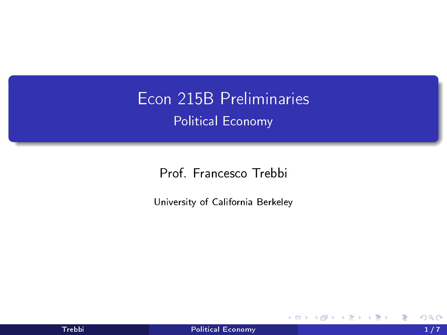<span id="page-0-0"></span>Econ 215B Preliminaries Political Economy

Prof. Francesco Trebbi

University of California Berkeley

4 0 8

э **D** э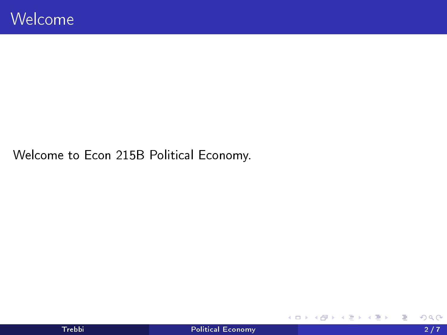Welcome to Econ 215B Political Economy.

**K ロ ▶ K 倒 ▶** 

重

경계 예정에

×.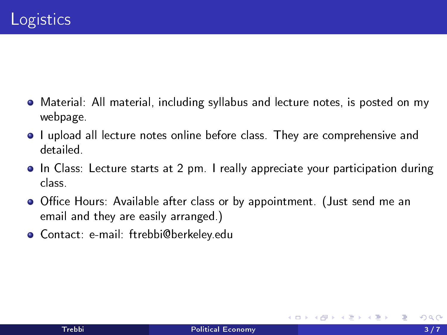- Material: All material, including syllabus and lecture notes, is posted on my webpage.
- $\bullet$  I upload all lecture notes online before class. They are comprehensive and detailed.
- In Class: Lecture starts at 2 pm. I really appreciate your participation during class.
- **•** Office Hours: Available after class or by appointment. (Just send me an email and they are easily arranged.)
- Contact: e-mail: ftrebbi@berkeley.edu

4 D F

一本 語 下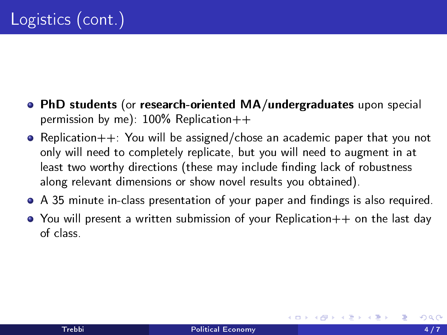- PhD students (or research-oriented MA/undergraduates upon special permission by me):  $100\%$  Replication $++$
- $\bullet$  Replication $++$ : You will be assigned/chose an academic paper that you not only will need to completely replicate, but you will need to augment in at least two worthy directions (these may include finding lack of robustness along relevant dimensions or show novel results you obtained).
- $\bullet$  A 35 minute in-class presentation of your paper and findings is also required.
- You will present a written submission of your Replication++ on the last day of class.

4 E X 4 E X 1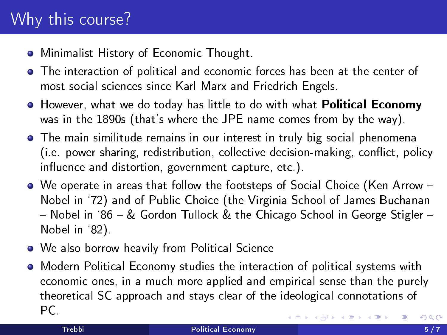## Why this course?

- Minimalist History of Economic Thought.
- The interaction of political and economic forces has been at the center of most social sciences since Karl Marx and Friedrich Engels.
- **•** However, what we do today has little to do with what **Political Economy** was in the 1890s (that's where the JPE name comes from by the way).
- The main similitude remains in our interest in truly big social phenomena (i.e. power sharing, redistribution, collective decision-making, conflict, policy influence and distortion, government capture, etc.).
- We operate in areas that follow the footsteps of Social Choice (Ken Arrow Nobel in `72) and of Public Choice (the Virginia School of James Buchanan - Nobel in '86 - & Gordon Tullock & the Chicago School in George Stigler -Nobel in `82).
- We also borrow heavily from Political Science
- Modern Political Economy studies the interaction of political systems with economic ones, in a much more applied and empirical sense than the purely theoretical SC approach and stays clear of the ideological connotations of PC.  $200$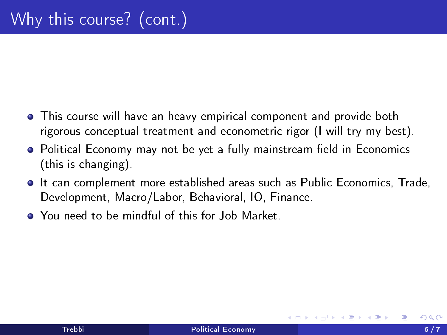- This course will have an heavy empirical component and provide both rigorous conceptual treatment and econometric rigor (I will try my best).
- Political Economy may not be yet a fully mainstream field in Economics (this is changing).
- It can complement more established areas such as Public Economics, Trade, Development, Macro/Labor, Behavioral, IO, Finance.
- You need to be mindful of this for Job Market.